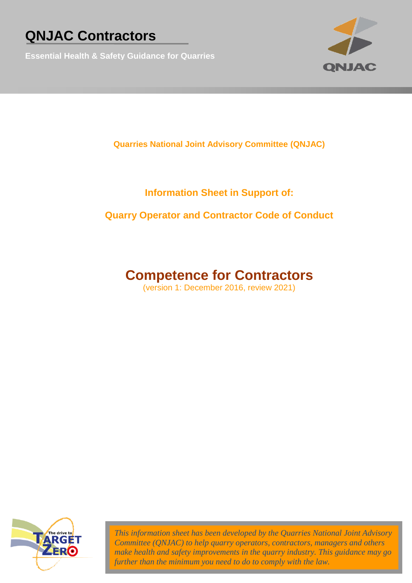**Essential Health & Safety Guidance for Quarries**



**Quarries National Joint Advisory Committee (QNJAC)**

### **Information Sheet in Support of:**

### **Quarry Operator and Contractor Code of Conduct**

### **Competence for Contractors**

(version 1: December 2016, review 2021)



*This information sheet has been developed by the Quarries National Joint Advisory Committee (QNJAC) to help quarry operators, contractors, managers and others make health and safety improvements in the quarry industry. This guidance may go further than the minimum you need to do to comply with the law.*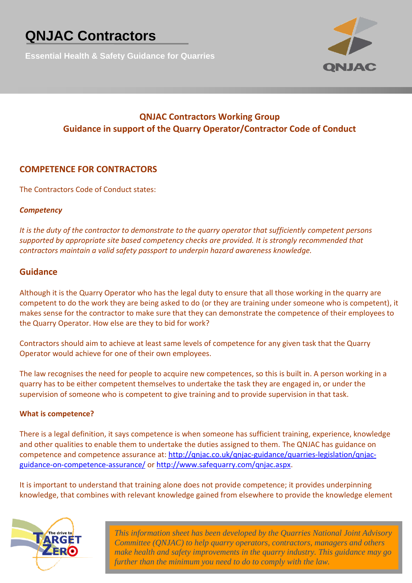**Essential Health & Safety Guidance for Quarries**



### **QNJAC Contractors Working Group Guidance in support of the Quarry Operator/Contractor Code of Conduct**

### **COMPETENCE FOR CONTRACTORS**

The Contractors Code of Conduct states:

#### *Competency*

*It is the duty of the contractor to demonstrate to the quarry operator that sufficiently competent persons supported by appropriate site based competency checks are provided. It is strongly recommended that contractors maintain a valid safety passport to underpin hazard awareness knowledge.*

#### **Guidance**

Although it is the Quarry Operator who has the legal duty to ensure that all those working in the quarry are competent to do the work they are being asked to do (or they are training under someone who is competent), it makes sense for the contractor to make sure that they can demonstrate the competence of their employees to the Quarry Operator. How else are they to bid for work?

Contractors should aim to achieve at least same levels of competence for any given task that the Quarry Operator would achieve for one of their own employees.

The law recognises the need for people to acquire new competences, so this is built in. A person working in a quarry has to be either competent themselves to undertake the task they are engaged in, or under the supervision of someone who is competent to give training and to provide supervision in that task.

#### **What is competence?**

There is a legal definition, it says competence is when someone has sufficient training, experience, knowledge and other qualities to enable them to undertake the duties assigned to them. The QNJAC has guidance on competence and competence assurance at: [http://qnjac.co.uk/qnjac-guidance/quarries-legislation/qnjac](http://qnjac.co.uk/qnjac-guidance/quarries-legislation/qnjac-guidance-on-competence-assurance/)[guidance-on-competence-assurance/](http://qnjac.co.uk/qnjac-guidance/quarries-legislation/qnjac-guidance-on-competence-assurance/) or [http://www.safequarry.com/qnjac.aspx.](http://www.safequarry.com/qnjac.aspx)

It is important to understand that training alone does not provide competence; it provides underpinning knowledge, that combines with relevant knowledge gained from elsewhere to provide the knowledge element



*This information sheet has been developed by the Quarries National Joint Advisory Committee (QNJAC) to help quarry operators, contractors, managers and others make health and safety improvements in the quarry industry. This guidance may go further than the minimum you need to do to comply with the law.*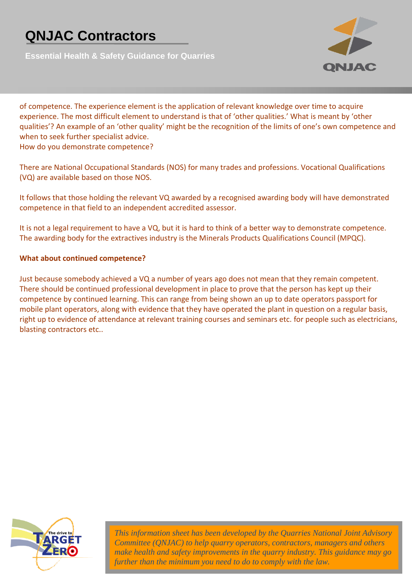**Essential Health & Safety Guidance for Quarries**



of competence. The experience element is the application of relevant knowledge over time to acquire experience. The most difficult element to understand is that of 'other qualities.' What is meant by 'other qualities'? An example of an 'other quality' might be the recognition of the limits of one's own competence and when to seek further specialist advice.

How do you demonstrate competence?

There are National Occupational Standards (NOS) for many trades and professions. Vocational Qualifications (VQ) are available based on those NOS.

It follows that those holding the relevant VQ awarded by a recognised awarding body will have demonstrated competence in that field to an independent accredited assessor.

It is not a legal requirement to have a VQ, but it is hard to think of a better way to demonstrate competence. The awarding body for the extractives industry is the Minerals Products Qualifications Council (MPQC).

#### **What about continued competence?**

Just because somebody achieved a VQ a number of years ago does not mean that they remain competent. There should be continued professional development in place to prove that the person has kept up their competence by continued learning. This can range from being shown an up to date operators passport for mobile plant operators, along with evidence that they have operated the plant in question on a regular basis, right up to evidence of attendance at relevant training courses and seminars etc. for people such as electricians, blasting contractors etc..



*This information sheet has been developed by the Quarries National Joint Advisory Committee (QNJAC) to help quarry operators, contractors, managers and others make health and safety improvements in the quarry industry. This guidance may go further than the minimum you need to do to comply with the law.*